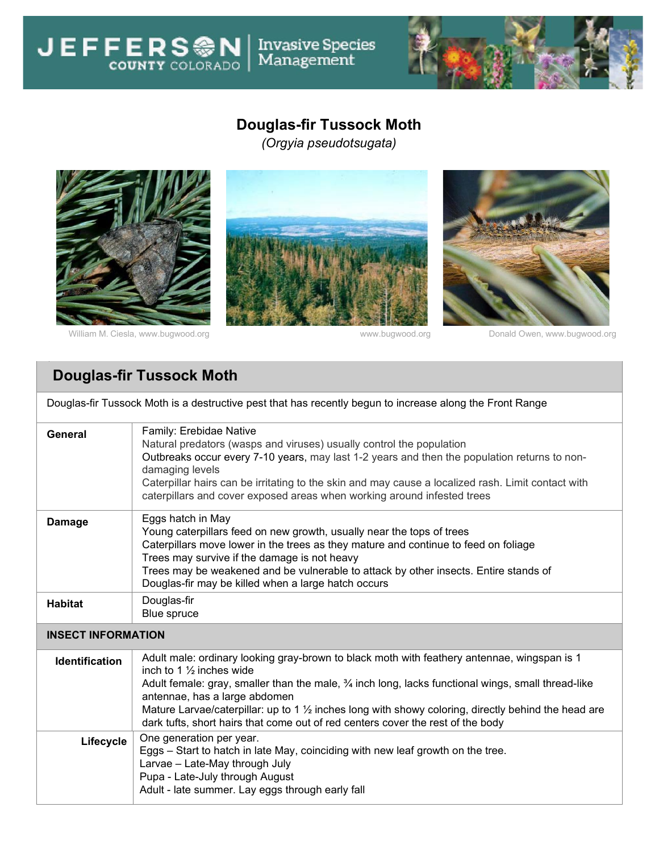## **Douglas-fir Tussock Moth**

Invasive Species<br>Management

*(Orgyia pseudotsugata)*



**JEFFERSON** 

William M. Ciesla, [www.bugwood.org](http://www.bugwood.org/) entity and the www.bugwood.org bonald Owen, www.bugwood.org





## **Douglas-fir Tussock Moth**

| Douglas-fir Tussock Moth is a destructive pest that has recently begun to increase along the Front Range |                                                                                                                                                                                                                                                                                                                                                                                                                                                                                           |  |  |  |
|----------------------------------------------------------------------------------------------------------|-------------------------------------------------------------------------------------------------------------------------------------------------------------------------------------------------------------------------------------------------------------------------------------------------------------------------------------------------------------------------------------------------------------------------------------------------------------------------------------------|--|--|--|
| <b>General</b>                                                                                           | Family: Erebidae Native<br>Natural predators (wasps and viruses) usually control the population<br>Outbreaks occur every 7-10 years, may last 1-2 years and then the population returns to non-<br>damaging levels<br>Caterpillar hairs can be irritating to the skin and may cause a localized rash. Limit contact with<br>caterpillars and cover exposed areas when working around infested trees                                                                                       |  |  |  |
| <b>Damage</b>                                                                                            | Eggs hatch in May<br>Young caterpillars feed on new growth, usually near the tops of trees<br>Caterpillars move lower in the trees as they mature and continue to feed on foliage<br>Trees may survive if the damage is not heavy<br>Trees may be weakened and be vulnerable to attack by other insects. Entire stands of<br>Douglas-fir may be killed when a large hatch occurs                                                                                                          |  |  |  |
| <b>Habitat</b>                                                                                           | Douglas-fir<br><b>Blue spruce</b>                                                                                                                                                                                                                                                                                                                                                                                                                                                         |  |  |  |
| <b>INSECT INFORMATION</b>                                                                                |                                                                                                                                                                                                                                                                                                                                                                                                                                                                                           |  |  |  |
| <b>Identification</b>                                                                                    | Adult male: ordinary looking gray-brown to black moth with feathery antennae, wingspan is 1<br>inch to 1 $\frac{1}{2}$ inches wide<br>Adult female: gray, smaller than the male, $\frac{3}{4}$ inch long, lacks functional wings, small thread-like<br>antennae, has a large abdomen<br>Mature Larvae/caterpillar: up to 1 $\frac{1}{2}$ inches long with showy coloring, directly behind the head are<br>dark tufts, short hairs that come out of red centers cover the rest of the body |  |  |  |
| Lifecycle                                                                                                | One generation per year.<br>Eggs – Start to hatch in late May, coinciding with new leaf growth on the tree.<br>Larvae - Late-May through July<br>Pupa - Late-July through August<br>Adult - late summer. Lay eggs through early fall                                                                                                                                                                                                                                                      |  |  |  |